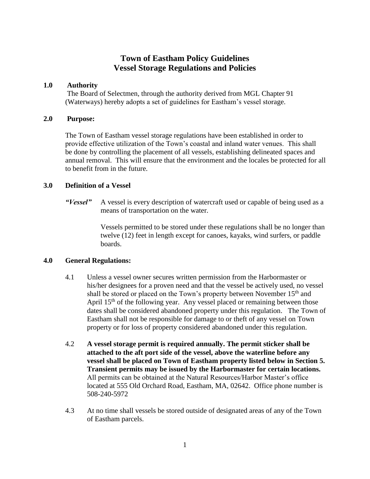# **Town of Eastham Policy Guidelines Vessel Storage Regulations and Policies**

## **1.0 Authority**

The Board of Selectmen, through the authority derived from MGL Chapter 91 (Waterways) hereby adopts a set of guidelines for Eastham's vessel storage.

#### **2.0 Purpose:**

The Town of Eastham vessel storage regulations have been established in order to provide effective utilization of the Town's coastal and inland water venues. This shall be done by controlling the placement of all vessels, establishing delineated spaces and annual removal. This will ensure that the environment and the locales be protected for all to benefit from in the future.

# **3.0 Definition of a Vessel**

*"Vessel"* A vessel is every description of watercraft used or capable of being used as a means of transportation on the water.

> Vessels permitted to be stored under these regulations shall be no longer than twelve (12) feet in length except for canoes, kayaks, wind surfers, or paddle boards.

#### **4.0 General Regulations:**

- 4.1 Unless a vessel owner secures written permission from the Harbormaster or his/her designees for a proven need and that the vessel be actively used, no vessel shall be stored or placed on the Town's property between November 15<sup>th</sup> and April  $15<sup>th</sup>$  of the following year. Any vessel placed or remaining between those dates shall be considered abandoned property under this regulation. The Town of Eastham shall not be responsible for damage to or theft of any vessel on Town property or for loss of property considered abandoned under this regulation.
- 4.2 **A vessel storage permit is required annually. The permit sticker shall be attached to the aft port side of the vessel, above the waterline before any vessel shall be placed on Town of Eastham property listed below in Section 5. Transient permits may be issued by the Harbormaster for certain locations.**  All permits can be obtained at the Natural Resources/Harbor Master's office located at 555 Old Orchard Road, Eastham, MA, 02642. Office phone number is 508-240-5972
- 4.3 At no time shall vessels be stored outside of designated areas of any of the Town of Eastham parcels.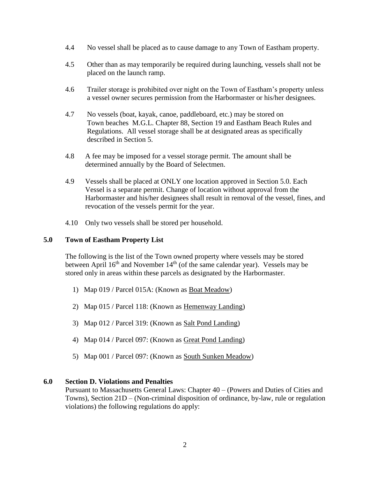- 4.4 No vessel shall be placed as to cause damage to any Town of Eastham property.
- 4.5 Other than as may temporarily be required during launching, vessels shall not be placed on the launch ramp.
- 4.6 Trailer storage is prohibited over night on the Town of Eastham's property unless a vessel owner secures permission from the Harbormaster or his/her designees.
- 4.7 No vessels (boat, kayak, canoe, paddleboard, etc.) may be stored on Town beaches M.G.L. Chapter 88, Section 19 and Eastham Beach Rules and Regulations. All vessel storage shall be at designated areas as specifically described in Section 5.
- 4.8 A fee may be imposed for a vessel storage permit. The amount shall be determined annually by the Board of Selectmen.
- 4.9 Vessels shall be placed at ONLY one location approved in Section 5.0. Each Vessel is a separate permit. Change of location without approval from the Harbormaster and his/her designees shall result in removal of the vessel, fines, and revocation of the vessels permit for the year.
- 4.10 Only two vessels shall be stored per household.

## **5.0 Town of Eastham Property List**

The following is the list of the Town owned property where vessels may be stored between April  $16<sup>th</sup>$  and November  $14<sup>th</sup>$  (of the same calendar year). Vessels may be stored only in areas within these parcels as designated by the Harbormaster.

- 1) Map 019 / Parcel 015A: (Known as Boat Meadow)
- 2) Map 015 / Parcel 118: (Known as Hemenway Landing)
- 3) Map 012 / Parcel 319: (Known as Salt Pond Landing)
- 4) Map 014 / Parcel 097: (Known as Great Pond Landing)
- 5) Map 001 / Parcel 097: (Known as South Sunken Meadow)

#### **6.0 Section D. Violations and Penalties**

Pursuant to Massachusetts General Laws: Chapter 40 – (Powers and Duties of Cities and Towns), Section 21D – (Non-criminal disposition of ordinance, by-law, rule or regulation violations) the following regulations do apply: